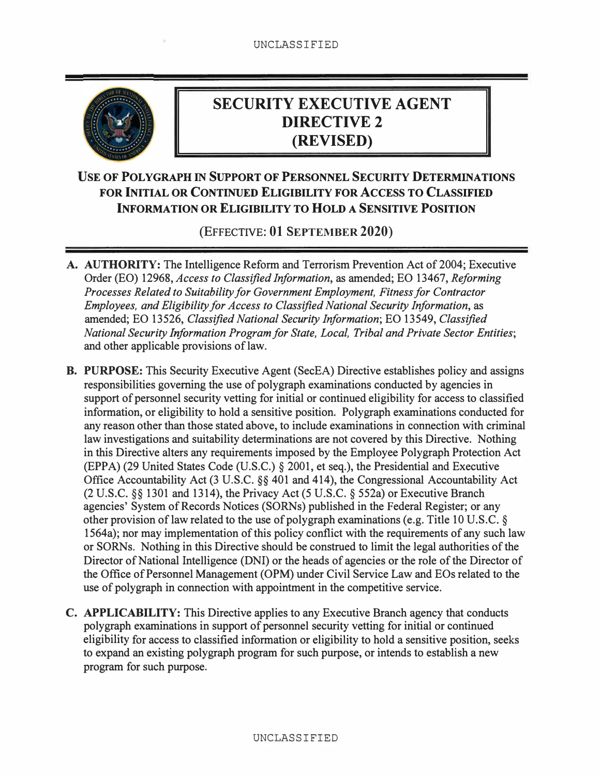

# **SECURITY EXECUTIVE AGENT DIRECTIVE2 (REVISED)**

## **USE OF POLYGRAPH** IN **SUPPORT OF PERSONNEL SECURITY DETERMINATIONS FOR INITIAL OR CONTINUED ELIGIBILITY FOR ACCESS TO CLASSIFIED INFORMATION OR ELIGIBILITY TO HOLD A SENSITIVE POSITION**

(EFFECTIVE: **01** S**EPTEMBER 2020**)

- **A. AUTHORITY:** The Intelligence Reform and Terrorism Prevention Act of 2004; Executive Order (EO) 12968, *Access to Classified Information,* as amended; EO 13467, *Reforming Processes Related to Suitability for Government Employment, Fitness for Contractor Employees, and Eligibility for Access to Classified National Security Information,* as amended; EO 13526, *Classified National Security Information;* EO 13549, *Classified National Security Information Program for State, Local, Tribal and Private Sector Entities;* and other applicable provisions of law.
- **B. PURPOSE:** This Security Executive Agent (SecEA) Directive establishes policy and assigns responsibilities governing the use of polygraph examinations conducted by agencies in support of personnel security vetting for initial or continued eligibility for access to classified information, or eligibility to hold a sensitive position. Polygraph examinations conducted for any reason other than those stated above, to include examinations in connection with criminal law investigations and suitability determinations are not covered by this Directive. Nothing in this Directive alters any requirements imposed by the Employee Polygraph Protection Act (EPPA) (29 United States Code (U.S.C.) § 2001, et seq.), the Presidential and Executive Office Accountability Act (3 U.S.C. §§ 401 and 414), the Congressional Accountability Act (2 U.S.C. §§ 1301 and 1314), the Privacy Act (5 U.S.C. § 552a) or Executive Branch agencies' System of Records Notices (SORNs) published in the Federal Register; or any other provision of law related to the use of polygraph examinations (e.g. Title 10 U.S.C. § 1564a); nor may implementation of this policy conflict with the requirements of any such law or SORNs. Nothing in this Directive should be construed to limit the legal authorities of the Director of National Intelligence (DNI) or the heads of agencies or the role of the Director of the Office of Personnel Management (OPM) under Civil Service Law and EOs related to the use of polygraph in connection with appointment in the competitive service.
- **C. APPLICABILITY:** This Directive applies to any Executive Branch agency that conducts polygraph examinations in support of personnel security vetting for initial or continued eligibility for access to classified information or eligibility to hold a sensitive position, seeks to expand an existing polygraph program for such purpose, or intends to establish a new program for such purpose.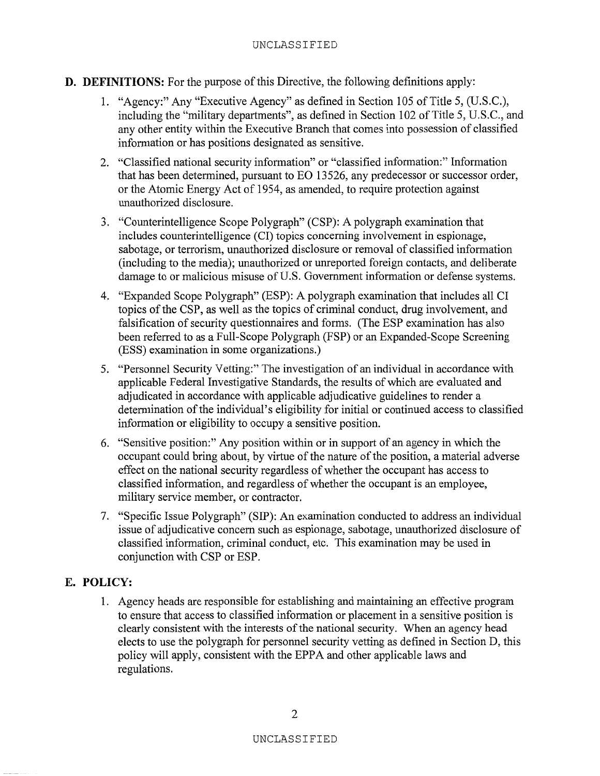- **D. DEFINITIONS:** For the purpose of this Directive, the following definitions apply:
	- 1. "Agency:" Any "Executive Agency" as defined in Section 105 of Title 5, (U.S.C.), including the "military departments", as defined in Section 102 of Title 5, U.S.C., and any other entity within the Executive Branch that comes into possession of classified information or has positions designated as sensitive.
	- 2. "Classified national security information" or "classified information:" Information that has been determined, pursuant to EO 13526, any predecessor or successor order, or the Atomic Energy Act of 1954, as amended, to require protection against unauthorized disclosure.
	- 3. "Counterintelligence Scope Polygraph" (CSP): A polygraph examination that includes counterintelligence (CI) topics concerning involvement in espionage, sabotage, or terrorism, unauthorized disclosure or removal of classified information (including to the media); unauthorized or unreported foreign contacts, and deliberate damage to or malicious misuse of U.S. Government information or defense systems.
	- 4. "Expanded Scope Polygraph" (ESP): A polygraph examination that includes all CI topics of the CSP, as well as the topics of criminal conduct, drug involvement, and falsification of security questionnaires and forms. (The ESP examination has also been referred to as a Full-Scope Polygraph (FSP) or an Expanded-Scope Screening (ESS) examination in some organizations.)
	- 5. "Personnel Security Vetting:" The investigation of an individual in accordance with applicable Federal Investigative Standards, the results of which are evaluated and adjudicated in accordance with applicable adjudicative guidelines to render a determination of the individual's eligibility for initial or continued access to classified information or eligibility to occupy a sensitive position.
	- 6. "Sensitive position:" Any position within or in support of an agency in which the occupant could bring about, by virtue of the nature of the position, a material adverse effect on the national security regardless of whether the occupant has access to classified information, and regardless of whether the occupant is an employee, military service member, or contractor.
	- 7. "Specific Issue Polygraph" (SIP): An examination conducted to address an individual issue of adjudicative concern such as espionage, sabotage, unauthorized disclosure of classified information, criminal conduct, etc. This examination may be used in conjunction with CSP or ESP.

### E. **POLICY:**

1. Agency heads are responsible for establishing and maintaining an effective program to ensure that access to classified information or placement in a sensitive position is clearly consistent with the interests of the national security. When an agency head elects to use the polygraph for personnel security vetting as defined in Section D, this policy will apply, consistent with the EPPA and other applicable laws and regulations.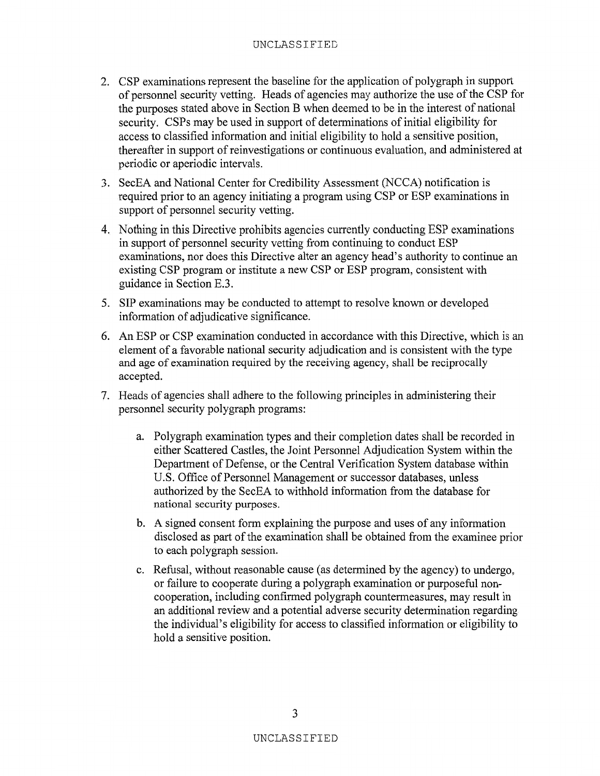#### UNCLASSIFIED

- 2. CSP examinations represent the baseline for the application of polygraph in support of personnel security vetting. Heads of agencies may authorize the use of the CSP for the purposes stated above in Section B when deemed to be in the interest of national security. CSPs may be used in support of determinations of initial eligibility for access to classified information and initial eligibility to hold a sensitive position, thereafter in support of reinvestigations or continuous evaluation, and administered at periodic or aperiodic intervals.
- 3. SecEA and National Center for Credibility Assessment (NCCA) notification is required prior to an agency initiating a program using CSP or ESP examinations in support of personnel security vetting.
- 4. Nothing in this Directive prohibits agencies currently conducting ESP examinations in support of personnel security vetting from continuing to conduct ESP examinations, nor does this Directive alter an agency head's authority to continue an existing CSP program or institute a new CSP or ESP program, consistent with guidance in Section E.3.
- 5. SIP examinations may be conducted to attempt to resolve known or developed information of adjudicative significance.
- 6. An ESP or CSP examination conducted in accordance with this Directive, which is an element of a favorable national security adjudication and is consistent with the type and age of examination required by the receiving agency, shall be reciprocally accepted.
- 7. Heads of agencies shall adhere to the following principles in administering their personnel security polygraph programs:
	- a. Polygraph examination types and their completion dates shall be recorded in either Scattered Castles, the Joint Personnel Adjudication System within the Department of Defense, or the Central Verification System database within U.S. Office of Personnel Management or successor databases, unless authorized by the SecEA to withhold information from the database for national security purposes.
	- b. A signed consent form explaining the purpose and uses of any information disclosed as part of the examination shall be obtained from the examinee prior to each polygraph session.
	- c. Refusal, without reasonable cause (as determined by the agency) to undergo, or failure to cooperate during a polygraph examination or purposeful noncooperation, including confirmed polygraph countermeasures, may result in an additional review and a potential adverse security determination regarding the individual's eligibility for access to classified information or eligibility to hold a sensitive position.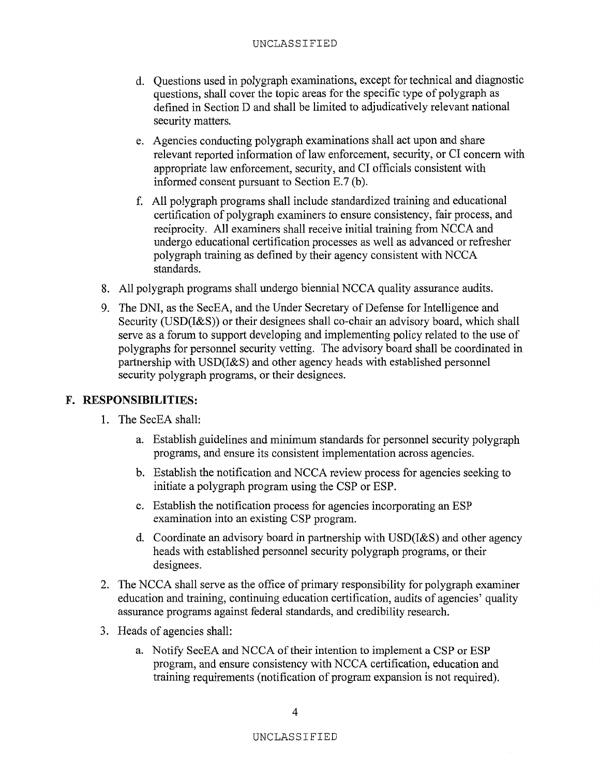- d. Questions used in polygraph examinations, except for technical and diagnostic questions, shall cover the topic areas for the specific type of polygraph as defined in Section D and shall be limited to adjudicatively relevant national security matters.
- e. Agencies conducting polygraph examinations shall act upon and share relevant reported information of law enforcement, security, or CI concern with appropriate law enforcement, security, and CI officials consistent with informed consent pursuant to Section  $E.7$  (b).
- f. All polygraph programs shall include standardized training and educational certification of polygraph examiners to ensure consistency, fair process, and reciprocity. All examiners shall receive initial training from NCCA and undergo educational certification processes as well as advanced or refresher polygraph training as defined by their agency consistent with NCCA standards.
- 8. All polygraph programs shall undergo biennial NCCA quality assurance audits.
- 9. The DNI, as the SecEA, and the Under Secretary of Defense for Intelligence and Security (USD(I&S)) or their designees shall co-chair an advisory board, which shall serve as a forum to support developing and implementing policy related to the use of polygraphs for personnel security vetting. The advisory board shall be coordinated in partnership with USD(I&S) and other agency heads with established personnel security polygraph programs, or their designees.

#### F. **RESPONSIBILITIES:**

- 1. The SecEA shall:
	- a. Establish guidelines and minimum standards for personnel security polygraph programs, and ensure its consistent implementation across agencies.
	- b. Establish the notification and NCCA review process for agencies seeking to initiate a polygraph program using the CSP or ESP.
	- c. Establish the notification process for agencies incorporating an ESP examination into an existing CSP program.
	- d. Coordinate an advisory board in partnership with USD(I&S) and other agency heads with established personnel security polygraph programs, or their designees.
- 2. The NCCA shall serve as the office of primary responsibility for polygraph examiner education and training, continuing education certification, audits of agencies' quality assurance programs against federal standards, and credibility research.
- 3. Heads of agencies shall:
	- a. Notify SecEA and NCCA of their intention to implement a CSP or ESP program, and ensure consistency with NCCA certification, education and training requirements (notification of program expansion is not required).